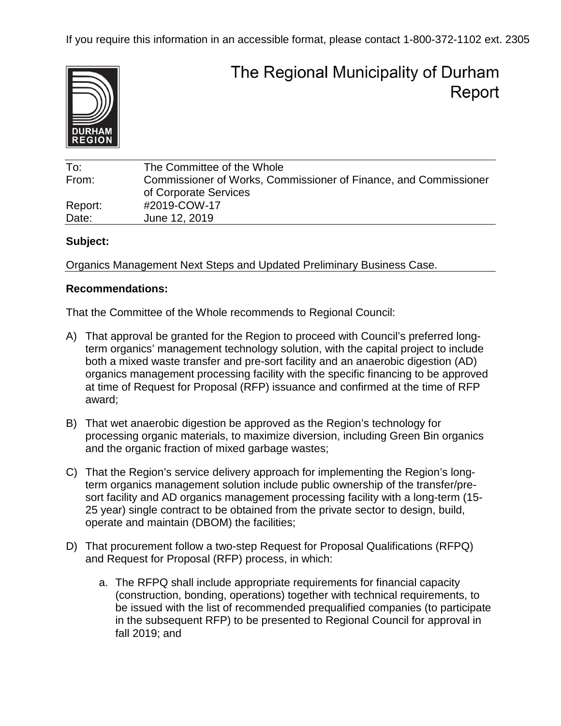

# The Regional Municipality of Durham Report

| To:     | The Committee of the Whole                                       |
|---------|------------------------------------------------------------------|
| From:   | Commissioner of Works, Commissioner of Finance, and Commissioner |
|         | of Corporate Services                                            |
| Report: | #2019-COW-17                                                     |
| Date:   | June 12, 2019                                                    |

#### **Subject:**

Organics Management Next Steps and Updated Preliminary Business Case.

#### **Recommendations:**

That the Committee of the Whole recommends to Regional Council:

- A) That approval be granted for the Region to proceed with Council's preferred longterm organics' management technology solution, with the capital project to include both a mixed waste transfer and pre-sort facility and an anaerobic digestion (AD) organics management processing facility with the specific financing to be approved at time of Request for Proposal (RFP) issuance and confirmed at the time of RFP award;
- B) That wet anaerobic digestion be approved as the Region's technology for processing organic materials, to maximize diversion, including Green Bin organics and the organic fraction of mixed garbage wastes;
- C) That the Region's service delivery approach for implementing the Region's longterm organics management solution include public ownership of the transfer/presort facility and AD organics management processing facility with a long-term (15- 25 year) single contract to be obtained from the private sector to design, build, operate and maintain (DBOM) the facilities;
- D) That procurement follow a two-step Request for Proposal Qualifications (RFPQ) and Request for Proposal (RFP) process, in which:
	- a. The RFPQ shall include appropriate requirements for financial capacity (construction, bonding, operations) together with technical requirements, to be issued with the list of recommended prequalified companies (to participate in the subsequent RFP) to be presented to Regional Council for approval in fall 2019; and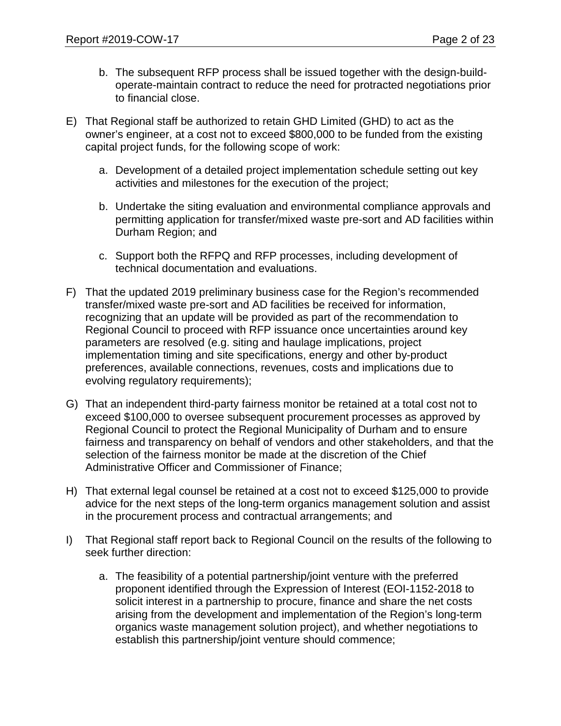- b. The subsequent RFP process shall be issued together with the design-buildoperate-maintain contract to reduce the need for protracted negotiations prior to financial close.
- E) That Regional staff be authorized to retain GHD Limited (GHD) to act as the owner's engineer, at a cost not to exceed \$800,000 to be funded from the existing capital project funds, for the following scope of work:
	- a. Development of a detailed project implementation schedule setting out key activities and milestones for the execution of the project;
	- b. Undertake the siting evaluation and environmental compliance approvals and permitting application for transfer/mixed waste pre-sort and AD facilities within Durham Region; and
	- c. Support both the RFPQ and RFP processes, including development of technical documentation and evaluations.
- F) That the updated 2019 preliminary business case for the Region's recommended transfer/mixed waste pre-sort and AD facilities be received for information, recognizing that an update will be provided as part of the recommendation to Regional Council to proceed with RFP issuance once uncertainties around key parameters are resolved (e.g. siting and haulage implications, project implementation timing and site specifications, energy and other by-product preferences, available connections, revenues, costs and implications due to evolving regulatory requirements);
- G) That an independent third-party fairness monitor be retained at a total cost not to exceed \$100,000 to oversee subsequent procurement processes as approved by Regional Council to protect the Regional Municipality of Durham and to ensure fairness and transparency on behalf of vendors and other stakeholders, and that the selection of the fairness monitor be made at the discretion of the Chief Administrative Officer and Commissioner of Finance;
- H) That external legal counsel be retained at a cost not to exceed \$125,000 to provide advice for the next steps of the long-term organics management solution and assist in the procurement process and contractual arrangements; and
- I) That Regional staff report back to Regional Council on the results of the following to seek further direction:
	- a. The feasibility of a potential partnership/joint venture with the preferred proponent identified through the Expression of Interest (EOI-1152-2018 to solicit interest in a partnership to procure, finance and share the net costs arising from the development and implementation of the Region's long-term organics waste management solution project), and whether negotiations to establish this partnership/joint venture should commence;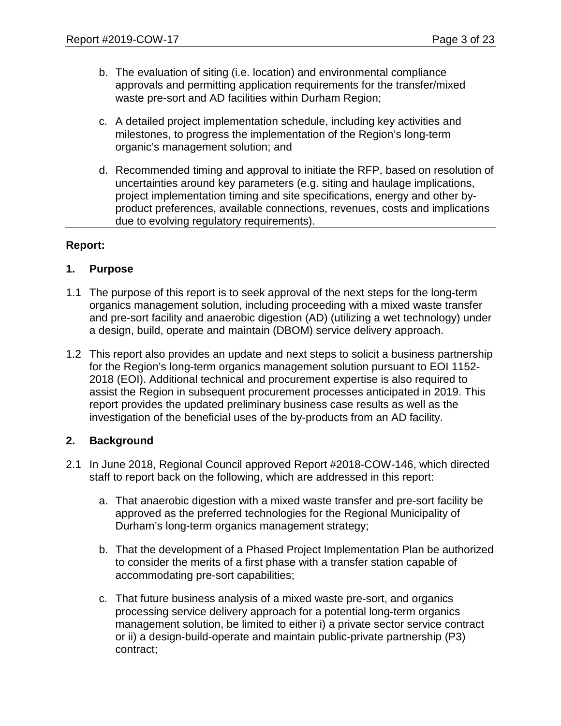- b. The evaluation of siting (i.e. location) and environmental compliance approvals and permitting application requirements for the transfer/mixed waste pre-sort and AD facilities within Durham Region;
- c. A detailed project implementation schedule, including key activities and milestones, to progress the implementation of the Region's long-term organic's management solution; and
- d. Recommended timing and approval to initiate the RFP, based on resolution of uncertainties around key parameters (e.g. siting and haulage implications, project implementation timing and site specifications, energy and other byproduct preferences, available connections, revenues, costs and implications due to evolving regulatory requirements).

#### **Report:**

#### **1. Purpose**

- 1.1 The purpose of this report is to seek approval of the next steps for the long-term organics management solution, including proceeding with a mixed waste transfer and pre-sort facility and anaerobic digestion (AD) (utilizing a wet technology) under a design, build, operate and maintain (DBOM) service delivery approach.
- 1.2 This report also provides an update and next steps to solicit a business partnership for the Region's long-term organics management solution pursuant to EOI 1152- 2018 (EOI). Additional technical and procurement expertise is also required to assist the Region in subsequent procurement processes anticipated in 2019. This report provides the updated preliminary business case results as well as the investigation of the beneficial uses of the by-products from an AD facility.

#### **2. Background**

- 2.1 In June 2018, Regional Council approved Report #2018-COW-146, which directed staff to report back on the following, which are addressed in this report:
	- a. That anaerobic digestion with a mixed waste transfer and pre-sort facility be approved as the preferred technologies for the Regional Municipality of Durham's long-term organics management strategy;
	- b. That the development of a Phased Project Implementation Plan be authorized to consider the merits of a first phase with a transfer station capable of accommodating pre-sort capabilities;
	- c. That future business analysis of a mixed waste pre-sort, and organics processing service delivery approach for a potential long-term organics management solution, be limited to either i) a private sector service contract or ii) a design-build-operate and maintain public-private partnership (P3) contract;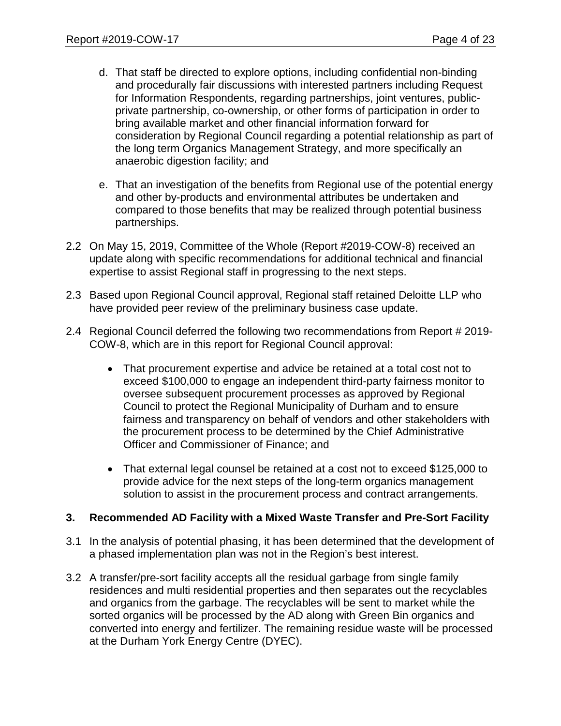- d. That staff be directed to explore options, including confidential non-binding and procedurally fair discussions with interested partners including Request for Information Respondents, regarding partnerships, joint ventures, publicprivate partnership, co-ownership, or other forms of participation in order to bring available market and other financial information forward for consideration by Regional Council regarding a potential relationship as part of the long term Organics Management Strategy, and more specifically an anaerobic digestion facility; and
- e. That an investigation of the benefits from Regional use of the potential energy and other by-products and environmental attributes be undertaken and compared to those benefits that may be realized through potential business partnerships.
- 2.2 On May 15, 2019, Committee of the Whole (Report #2019-COW-8) received an update along with specific recommendations for additional technical and financial expertise to assist Regional staff in progressing to the next steps.
- 2.3 Based upon Regional Council approval, Regional staff retained Deloitte LLP who have provided peer review of the preliminary business case update.
- 2.4 Regional Council deferred the following two recommendations from Report # 2019- COW-8, which are in this report for Regional Council approval:
	- That procurement expertise and advice be retained at a total cost not to exceed \$100,000 to engage an independent third-party fairness monitor to oversee subsequent procurement processes as approved by Regional Council to protect the Regional Municipality of Durham and to ensure fairness and transparency on behalf of vendors and other stakeholders with the procurement process to be determined by the Chief Administrative Officer and Commissioner of Finance; and
	- That external legal counsel be retained at a cost not to exceed \$125,000 to provide advice for the next steps of the long-term organics management solution to assist in the procurement process and contract arrangements.

#### **3. Recommended AD Facility with a Mixed Waste Transfer and Pre-Sort Facility**

- 3.1 In the analysis of potential phasing, it has been determined that the development of a phased implementation plan was not in the Region's best interest.
- 3.2 A transfer/pre-sort facility accepts all the residual garbage from single family residences and multi residential properties and then separates out the recyclables and organics from the garbage. The recyclables will be sent to market while the sorted organics will be processed by the AD along with Green Bin organics and converted into energy and fertilizer. The remaining residue waste will be processed at the Durham York Energy Centre (DYEC).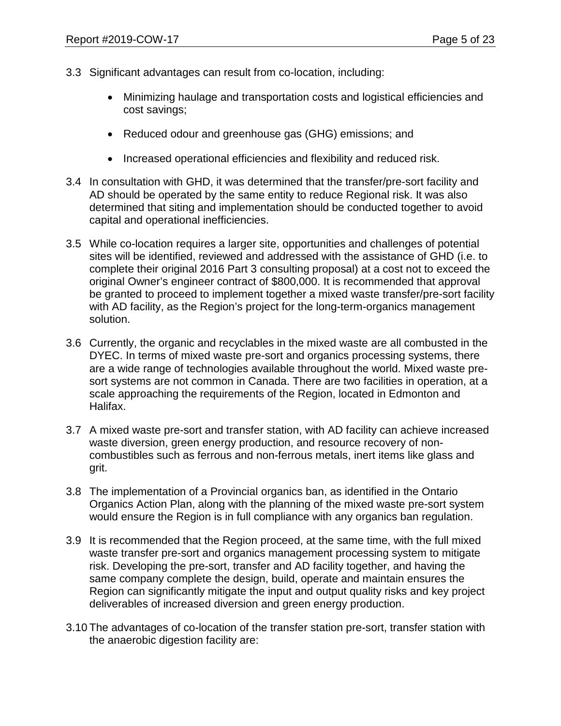- 3.3 Significant advantages can result from co-location, including:
	- Minimizing haulage and transportation costs and logistical efficiencies and cost savings;
	- Reduced odour and greenhouse gas (GHG) emissions; and
	- Increased operational efficiencies and flexibility and reduced risk.
- 3.4 In consultation with GHD, it was determined that the transfer/pre-sort facility and AD should be operated by the same entity to reduce Regional risk. It was also determined that siting and implementation should be conducted together to avoid capital and operational inefficiencies.
- 3.5 While co-location requires a larger site, opportunities and challenges of potential sites will be identified, reviewed and addressed with the assistance of GHD (i.e. to complete their original 2016 Part 3 consulting proposal) at a cost not to exceed the original Owner's engineer contract of \$800,000. It is recommended that approval be granted to proceed to implement together a mixed waste transfer/pre-sort facility with AD facility, as the Region's project for the long-term-organics management solution.
- 3.6 Currently, the organic and recyclables in the mixed waste are all combusted in the DYEC. In terms of mixed waste pre-sort and organics processing systems, there are a wide range of technologies available throughout the world. Mixed waste presort systems are not common in Canada. There are two facilities in operation, at a scale approaching the requirements of the Region, located in Edmonton and Halifax.
- 3.7 A mixed waste pre-sort and transfer station, with AD facility can achieve increased waste diversion, green energy production, and resource recovery of noncombustibles such as ferrous and non-ferrous metals, inert items like glass and grit.
- 3.8 The implementation of a Provincial organics ban, as identified in the Ontario Organics Action Plan, along with the planning of the mixed waste pre-sort system would ensure the Region is in full compliance with any organics ban regulation.
- 3.9 It is recommended that the Region proceed, at the same time, with the full mixed waste transfer pre-sort and organics management processing system to mitigate risk. Developing the pre-sort, transfer and AD facility together, and having the same company complete the design, build, operate and maintain ensures the Region can significantly mitigate the input and output quality risks and key project deliverables of increased diversion and green energy production.
- 3.10 The advantages of co-location of the transfer station pre-sort, transfer station with the anaerobic digestion facility are: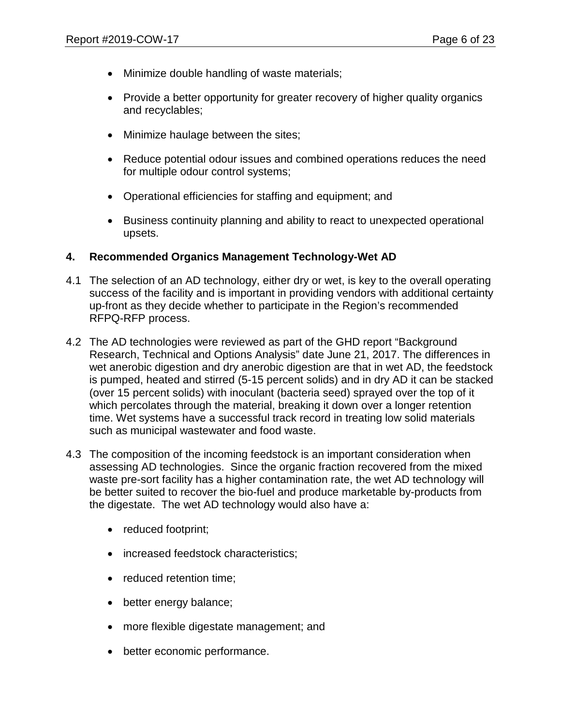- Minimize double handling of waste materials;
- Provide a better opportunity for greater recovery of higher quality organics and recyclables;
- Minimize haulage between the sites;
- Reduce potential odour issues and combined operations reduces the need for multiple odour control systems;
- Operational efficiencies for staffing and equipment; and
- Business continuity planning and ability to react to unexpected operational upsets.

#### **4. Recommended Organics Management Technology-Wet AD**

- 4.1 The selection of an AD technology, either dry or wet, is key to the overall operating success of the facility and is important in providing vendors with additional certainty up-front as they decide whether to participate in the Region's recommended RFPQ-RFP process.
- 4.2 The AD technologies were reviewed as part of the GHD report "Background Research, Technical and Options Analysis" date June 21, 2017. The differences in wet anerobic digestion and dry anerobic digestion are that in wet AD, the feedstock is pumped, heated and stirred (5-15 percent solids) and in dry AD it can be stacked (over 15 percent solids) with inoculant (bacteria seed) sprayed over the top of it which percolates through the material, breaking it down over a longer retention time. Wet systems have a successful track record in treating low solid materials such as municipal wastewater and food waste.
- 4.3 The composition of the incoming feedstock is an important consideration when assessing AD technologies. Since the organic fraction recovered from the mixed waste pre-sort facility has a higher contamination rate, the wet AD technology will be better suited to recover the bio-fuel and produce marketable by-products from the digestate. The wet AD technology would also have a:
	- reduced footprint;
	- increased feedstock characteristics;
	- reduced retention time;
	- better energy balance;
	- more flexible digestate management; and
	- better economic performance.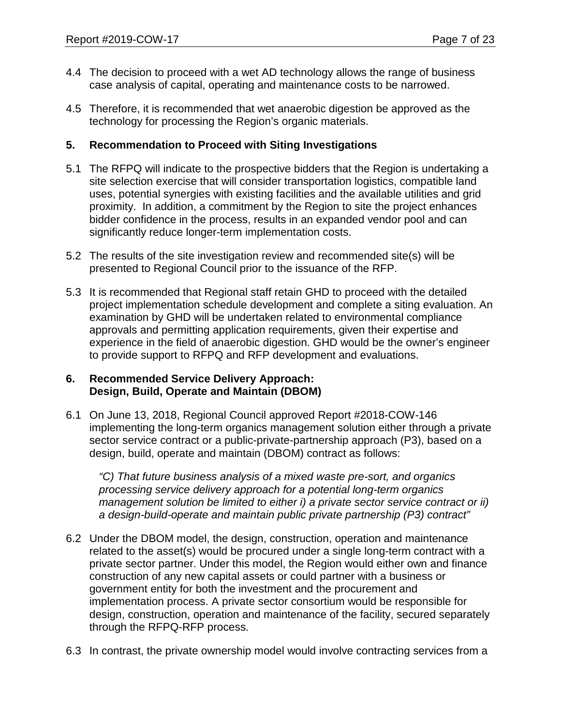- 4.4 The decision to proceed with a wet AD technology allows the range of business case analysis of capital, operating and maintenance costs to be narrowed.
- 4.5 Therefore, it is recommended that wet anaerobic digestion be approved as the technology for processing the Region's organic materials.

#### **5. Recommendation to Proceed with Siting Investigations**

- 5.1 The RFPQ will indicate to the prospective bidders that the Region is undertaking a site selection exercise that will consider transportation logistics, compatible land uses, potential synergies with existing facilities and the available utilities and grid proximity. In addition, a commitment by the Region to site the project enhances bidder confidence in the process, results in an expanded vendor pool and can significantly reduce longer-term implementation costs.
- 5.2 The results of the site investigation review and recommended site(s) will be presented to Regional Council prior to the issuance of the RFP.
- 5.3 It is recommended that Regional staff retain GHD to proceed with the detailed project implementation schedule development and complete a siting evaluation. An examination by GHD will be undertaken related to environmental compliance approvals and permitting application requirements, given their expertise and experience in the field of anaerobic digestion. GHD would be the owner's engineer to provide support to RFPQ and RFP development and evaluations.

#### **6. Recommended Service Delivery Approach: Design, Build, Operate and Maintain (DBOM)**

6.1 On June 13, 2018, Regional Council approved Report #2018-COW-146 implementing the long-term organics management solution either through a private sector service contract or a public-private-partnership approach (P3), based on a design, build, operate and maintain (DBOM) contract as follows:

*"C) That future business analysis of a mixed waste pre-sort, and organics processing service delivery approach for a potential long-term organics management solution be limited to either i) a private sector service contract or ii) a design-build-operate and maintain public private partnership (P3) contract"*

- 6.2 Under the DBOM model, the design, construction, operation and maintenance related to the asset(s) would be procured under a single long-term contract with a private sector partner. Under this model, the Region would either own and finance construction of any new capital assets or could partner with a business or government entity for both the investment and the procurement and implementation process. A private sector consortium would be responsible for design, construction, operation and maintenance of the facility, secured separately through the RFPQ-RFP process.
- 6.3 In contrast, the private ownership model would involve contracting services from a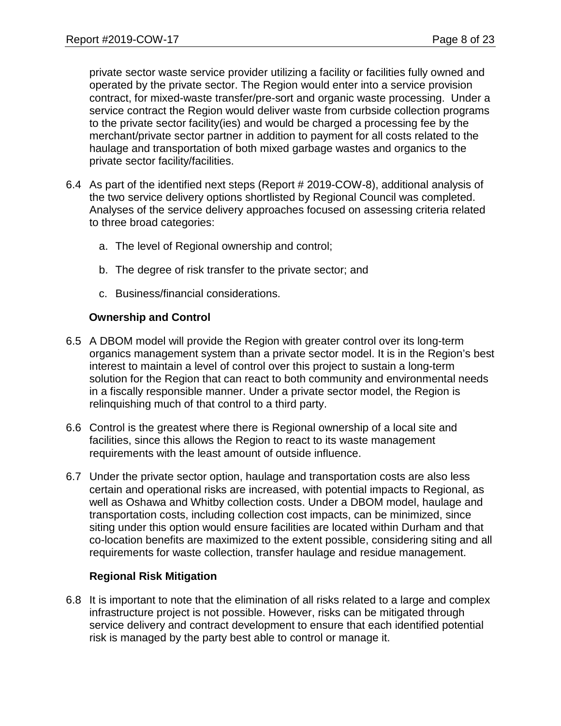private sector waste service provider utilizing a facility or facilities fully owned and operated by the private sector. The Region would enter into a service provision contract, for mixed-waste transfer/pre-sort and organic waste processing. Under a service contract the Region would deliver waste from curbside collection programs to the private sector facility(ies) and would be charged a processing fee by the merchant/private sector partner in addition to payment for all costs related to the haulage and transportation of both mixed garbage wastes and organics to the private sector facility/facilities.

- 6.4 As part of the identified next steps (Report # 2019-COW-8), additional analysis of the two service delivery options shortlisted by Regional Council was completed. Analyses of the service delivery approaches focused on assessing criteria related to three broad categories:
	- a. The level of Regional ownership and control;
	- b. The degree of risk transfer to the private sector; and
	- c. Business/financial considerations.

#### **Ownership and Control**

- 6.5 A DBOM model will provide the Region with greater control over its long-term organics management system than a private sector model. It is in the Region's best interest to maintain a level of control over this project to sustain a long-term solution for the Region that can react to both community and environmental needs in a fiscally responsible manner. Under a private sector model, the Region is relinquishing much of that control to a third party.
- 6.6 Control is the greatest where there is Regional ownership of a local site and facilities, since this allows the Region to react to its waste management requirements with the least amount of outside influence.
- 6.7 Under the private sector option, haulage and transportation costs are also less certain and operational risks are increased, with potential impacts to Regional, as well as Oshawa and Whitby collection costs. Under a DBOM model, haulage and transportation costs, including collection cost impacts, can be minimized, since siting under this option would ensure facilities are located within Durham and that co-location benefits are maximized to the extent possible, considering siting and all requirements for waste collection, transfer haulage and residue management.

#### **Regional Risk Mitigation**

6.8 It is important to note that the elimination of all risks related to a large and complex infrastructure project is not possible. However, risks can be mitigated through service delivery and contract development to ensure that each identified potential risk is managed by the party best able to control or manage it.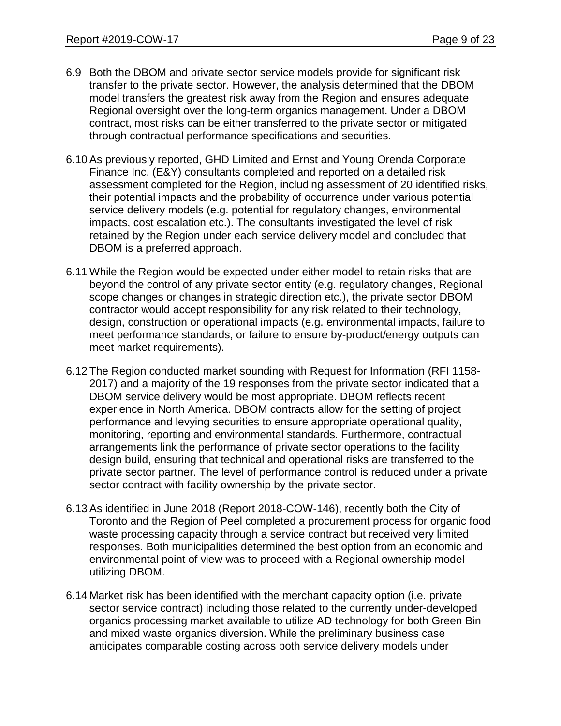- 6.9 Both the DBOM and private sector service models provide for significant risk transfer to the private sector. However, the analysis determined that the DBOM model transfers the greatest risk away from the Region and ensures adequate Regional oversight over the long-term organics management. Under a DBOM contract, most risks can be either transferred to the private sector or mitigated through contractual performance specifications and securities.
- 6.10 As previously reported, GHD Limited and Ernst and Young Orenda Corporate Finance Inc. (E&Y) consultants completed and reported on a detailed risk assessment completed for the Region, including assessment of 20 identified risks, their potential impacts and the probability of occurrence under various potential service delivery models (e.g. potential for regulatory changes, environmental impacts, cost escalation etc.). The consultants investigated the level of risk retained by the Region under each service delivery model and concluded that DBOM is a preferred approach.
- 6.11 While the Region would be expected under either model to retain risks that are beyond the control of any private sector entity (e.g. regulatory changes, Regional scope changes or changes in strategic direction etc.), the private sector DBOM contractor would accept responsibility for any risk related to their technology, design, construction or operational impacts (e.g. environmental impacts, failure to meet performance standards, or failure to ensure by-product/energy outputs can meet market requirements).
- 6.12 The Region conducted market sounding with Request for Information (RFI 1158- 2017) and a majority of the 19 responses from the private sector indicated that a DBOM service delivery would be most appropriate. DBOM reflects recent experience in North America. DBOM contracts allow for the setting of project performance and levying securities to ensure appropriate operational quality, monitoring, reporting and environmental standards. Furthermore, contractual arrangements link the performance of private sector operations to the facility design build, ensuring that technical and operational risks are transferred to the private sector partner. The level of performance control is reduced under a private sector contract with facility ownership by the private sector.
- 6.13 As identified in June 2018 (Report 2018-COW-146), recently both the City of Toronto and the Region of Peel completed a procurement process for organic food waste processing capacity through a service contract but received very limited responses. Both municipalities determined the best option from an economic and environmental point of view was to proceed with a Regional ownership model utilizing DBOM.
- 6.14 Market risk has been identified with the merchant capacity option (i.e. private sector service contract) including those related to the currently under-developed organics processing market available to utilize AD technology for both Green Bin and mixed waste organics diversion. While the preliminary business case anticipates comparable costing across both service delivery models under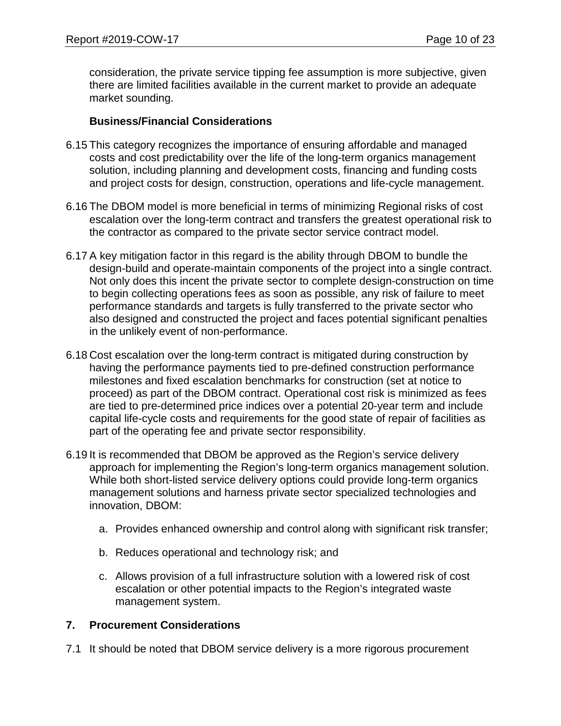consideration, the private service tipping fee assumption is more subjective, given there are limited facilities available in the current market to provide an adequate market sounding.

#### **Business/Financial Considerations**

- 6.15 This category recognizes the importance of ensuring affordable and managed costs and cost predictability over the life of the long-term organics management solution, including planning and development costs, financing and funding costs and project costs for design, construction, operations and life-cycle management.
- 6.16 The DBOM model is more beneficial in terms of minimizing Regional risks of cost escalation over the long-term contract and transfers the greatest operational risk to the contractor as compared to the private sector service contract model.
- 6.17 A key mitigation factor in this regard is the ability through DBOM to bundle the design-build and operate-maintain components of the project into a single contract. Not only does this incent the private sector to complete design-construction on time to begin collecting operations fees as soon as possible, any risk of failure to meet performance standards and targets is fully transferred to the private sector who also designed and constructed the project and faces potential significant penalties in the unlikely event of non-performance.
- 6.18 Cost escalation over the long-term contract is mitigated during construction by having the performance payments tied to pre-defined construction performance milestones and fixed escalation benchmarks for construction (set at notice to proceed) as part of the DBOM contract. Operational cost risk is minimized as fees are tied to pre-determined price indices over a potential 20-year term and include capital life-cycle costs and requirements for the good state of repair of facilities as part of the operating fee and private sector responsibility.
- 6.19 It is recommended that DBOM be approved as the Region's service delivery approach for implementing the Region's long-term organics management solution. While both short-listed service delivery options could provide long-term organics management solutions and harness private sector specialized technologies and innovation, DBOM:
	- a. Provides enhanced ownership and control along with significant risk transfer;
	- b. Reduces operational and technology risk; and
	- c. Allows provision of a full infrastructure solution with a lowered risk of cost escalation or other potential impacts to the Region's integrated waste management system.

## **7. Procurement Considerations**

7.1 It should be noted that DBOM service delivery is a more rigorous procurement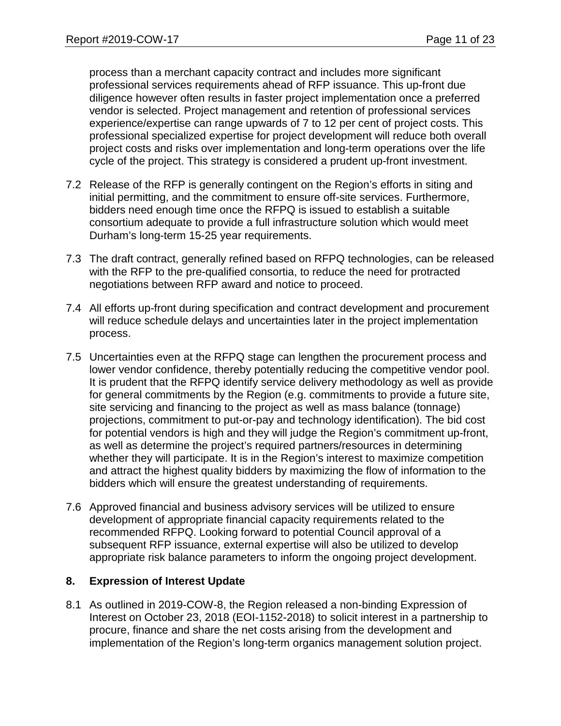process than a merchant capacity contract and includes more significant professional services requirements ahead of RFP issuance. This up-front due diligence however often results in faster project implementation once a preferred vendor is selected. Project management and retention of professional services experience/expertise can range upwards of 7 to 12 per cent of project costs. This professional specialized expertise for project development will reduce both overall project costs and risks over implementation and long-term operations over the life cycle of the project. This strategy is considered a prudent up-front investment.

- 7.2 Release of the RFP is generally contingent on the Region's efforts in siting and initial permitting, and the commitment to ensure off-site services. Furthermore, bidders need enough time once the RFPQ is issued to establish a suitable consortium adequate to provide a full infrastructure solution which would meet Durham's long-term 15-25 year requirements.
- 7.3 The draft contract, generally refined based on RFPQ technologies, can be released with the RFP to the pre-qualified consortia, to reduce the need for protracted negotiations between RFP award and notice to proceed.
- 7.4 All efforts up-front during specification and contract development and procurement will reduce schedule delays and uncertainties later in the project implementation process.
- 7.5 Uncertainties even at the RFPQ stage can lengthen the procurement process and lower vendor confidence, thereby potentially reducing the competitive vendor pool. It is prudent that the RFPQ identify service delivery methodology as well as provide for general commitments by the Region (e.g. commitments to provide a future site, site servicing and financing to the project as well as mass balance (tonnage) projections, commitment to put-or-pay and technology identification). The bid cost for potential vendors is high and they will judge the Region's commitment up-front, as well as determine the project's required partners/resources in determining whether they will participate. It is in the Region's interest to maximize competition and attract the highest quality bidders by maximizing the flow of information to the bidders which will ensure the greatest understanding of requirements.
- 7.6 Approved financial and business advisory services will be utilized to ensure development of appropriate financial capacity requirements related to the recommended RFPQ. Looking forward to potential Council approval of a subsequent RFP issuance, external expertise will also be utilized to develop appropriate risk balance parameters to inform the ongoing project development.

#### **8. Expression of Interest Update**

8.1 As outlined in 2019-COW-8, the Region released a non-binding Expression of Interest on October 23, 2018 (EOI-1152-2018) to solicit interest in a partnership to procure, finance and share the net costs arising from the development and implementation of the Region's long-term organics management solution project.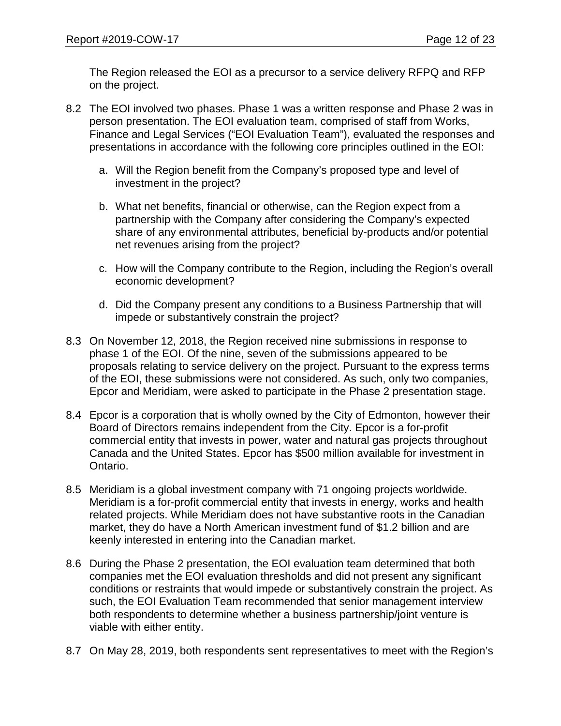The Region released the EOI as a precursor to a service delivery RFPQ and RFP on the project.

- 8.2 The EOI involved two phases. Phase 1 was a written response and Phase 2 was in person presentation. The EOI evaluation team, comprised of staff from Works, Finance and Legal Services ("EOI Evaluation Team"), evaluated the responses and presentations in accordance with the following core principles outlined in the EOI:
	- a. Will the Region benefit from the Company's proposed type and level of investment in the project?
	- b. What net benefits, financial or otherwise, can the Region expect from a partnership with the Company after considering the Company's expected share of any environmental attributes, beneficial by-products and/or potential net revenues arising from the project?
	- c. How will the Company contribute to the Region, including the Region's overall economic development?
	- d. Did the Company present any conditions to a Business Partnership that will impede or substantively constrain the project?
- 8.3 On November 12, 2018, the Region received nine submissions in response to phase 1 of the EOI. Of the nine, seven of the submissions appeared to be proposals relating to service delivery on the project. Pursuant to the express terms of the EOI, these submissions were not considered. As such, only two companies, Epcor and Meridiam, were asked to participate in the Phase 2 presentation stage.
- 8.4 Epcor is a corporation that is wholly owned by the City of Edmonton, however their Board of Directors remains independent from the City. Epcor is a for-profit commercial entity that invests in power, water and natural gas projects throughout Canada and the United States. Epcor has \$500 million available for investment in Ontario.
- 8.5 Meridiam is a global investment company with 71 ongoing projects worldwide. Meridiam is a for-profit commercial entity that invests in energy, works and health related projects. While Meridiam does not have substantive roots in the Canadian market, they do have a North American investment fund of \$1.2 billion and are keenly interested in entering into the Canadian market.
- 8.6 During the Phase 2 presentation, the EOI evaluation team determined that both companies met the EOI evaluation thresholds and did not present any significant conditions or restraints that would impede or substantively constrain the project. As such, the EOI Evaluation Team recommended that senior management interview both respondents to determine whether a business partnership/joint venture is viable with either entity.
- 8.7 On May 28, 2019, both respondents sent representatives to meet with the Region's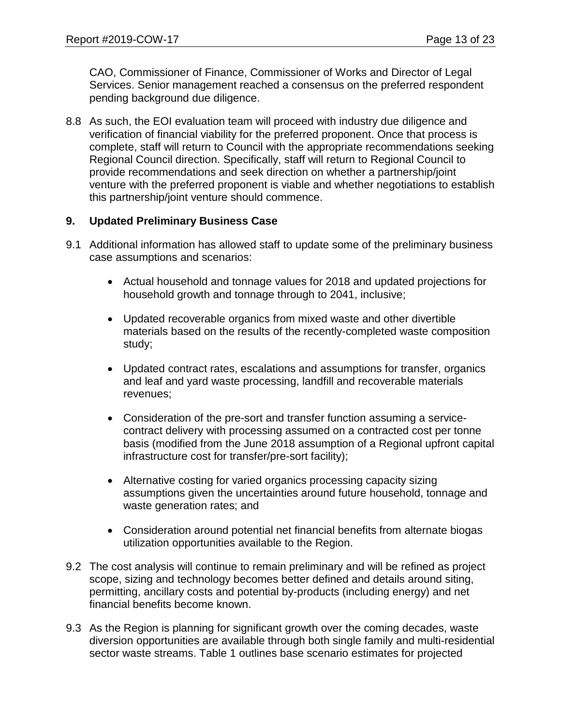CAO, Commissioner of Finance, Commissioner of Works and Director of Legal Services. Senior management reached a consensus on the preferred respondent pending background due diligence.

8.8 As such, the EOI evaluation team will proceed with industry due diligence and verification of financial viability for the preferred proponent. Once that process is complete, staff will return to Council with the appropriate recommendations seeking Regional Council direction. Specifically, staff will return to Regional Council to provide recommendations and seek direction on whether a partnership/joint venture with the preferred proponent is viable and whether negotiations to establish this partnership/joint venture should commence.

#### **9. Updated Preliminary Business Case**

- 9.1 Additional information has allowed staff to update some of the preliminary business case assumptions and scenarios:
	- Actual household and tonnage values for 2018 and updated projections for household growth and tonnage through to 2041, inclusive;
	- Updated recoverable organics from mixed waste and other divertible materials based on the results of the recently-completed waste composition study;
	- Updated contract rates, escalations and assumptions for transfer, organics and leaf and yard waste processing, landfill and recoverable materials revenues;
	- Consideration of the pre-sort and transfer function assuming a servicecontract delivery with processing assumed on a contracted cost per tonne basis (modified from the June 2018 assumption of a Regional upfront capital infrastructure cost for transfer/pre-sort facility);
	- Alternative costing for varied organics processing capacity sizing assumptions given the uncertainties around future household, tonnage and waste generation rates; and
	- Consideration around potential net financial benefits from alternate biogas utilization opportunities available to the Region.
- 9.2 The cost analysis will continue to remain preliminary and will be refined as project scope, sizing and technology becomes better defined and details around siting, permitting, ancillary costs and potential by-products (including energy) and net financial benefits become known.
- 9.3 As the Region is planning for significant growth over the coming decades, waste diversion opportunities are available through both single family and multi-residential sector waste streams. Table 1 outlines base scenario estimates for projected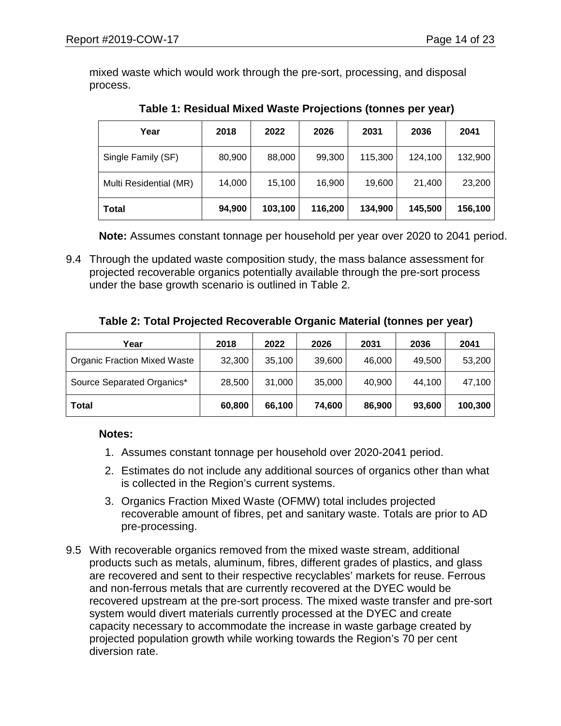mixed waste which would work through the pre-sort, processing, and disposal process.

| Year                   | 2018   | 2022    | 2026    | 2031    | 2036    | 2041    |
|------------------------|--------|---------|---------|---------|---------|---------|
| Single Family (SF)     | 80,900 | 88,000  | 99,300  | 115,300 | 124,100 | 132,900 |
| Multi Residential (MR) | 14,000 | 15,100  | 16,900  | 19,600  | 21,400  | 23,200  |
| <b>Total</b>           | 94,900 | 103,100 | 116,200 | 134,900 | 145,500 | 156,100 |

**Table 1: Residual Mixed Waste Projections (tonnes per year)**

**Note:** Assumes constant tonnage per household per year over 2020 to 2041 period.

9.4 Through the updated waste composition study, the mass balance assessment for projected recoverable organics potentially available through the pre-sort process under the base growth scenario is outlined in Table 2.

|  | Table 2: Total Projected Recoverable Organic Material (tonnes per year) |  |
|--|-------------------------------------------------------------------------|--|
|  |                                                                         |  |

| Year                                | 2018   | 2022   | 2026   | 2031   | 2036   | 2041    |
|-------------------------------------|--------|--------|--------|--------|--------|---------|
| <b>Organic Fraction Mixed Waste</b> | 32,300 | 35,100 | 39,600 | 46,000 | 49,500 | 53,200  |
| Source Separated Organics*          | 28,500 | 31,000 | 35,000 | 40,900 | 44,100 | 47,100  |
| <b>Total</b>                        | 60,800 | 66,100 | 74,600 | 86,900 | 93,600 | 100,300 |

#### **Notes:**

- 1. Assumes constant tonnage per household over 2020-2041 period.
- 2. Estimates do not include any additional sources of organics other than what is collected in the Region's current systems.
- 3. Organics Fraction Mixed Waste (OFMW) total includes projected recoverable amount of fibres, pet and sanitary waste. Totals are prior to AD pre-processing.
- 9.5 With recoverable organics removed from the mixed waste stream, additional products such as metals, aluminum, fibres, different grades of plastics, and glass are recovered and sent to their respective recyclables' markets for reuse. Ferrous and non-ferrous metals that are currently recovered at the DYEC would be recovered upstream at the pre-sort process. The mixed waste transfer and pre-sort system would divert materials currently processed at the DYEC and create capacity necessary to accommodate the increase in waste garbage created by projected population growth while working towards the Region's 70 per cent diversion rate.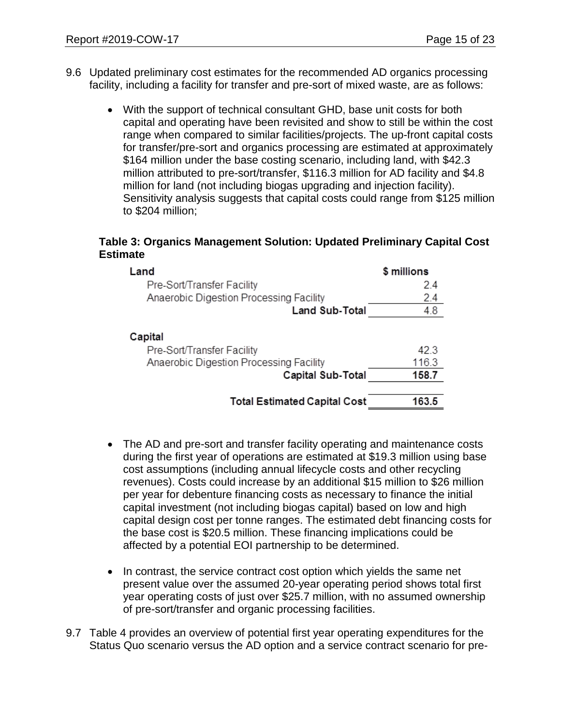- 9.6 Updated preliminary cost estimates for the recommended AD organics processing facility, including a facility for transfer and pre-sort of mixed waste, are as follows:
	- With the support of technical consultant GHD, base unit costs for both capital and operating have been revisited and show to still be within the cost range when compared to similar facilities/projects. The up-front capital costs for transfer/pre-sort and organics processing are estimated at approximately \$164 million under the base costing scenario, including land, with \$42.3 million attributed to pre-sort/transfer, \$116.3 million for AD facility and \$4.8 million for land (not including biogas upgrading and injection facility). Sensitivity analysis suggests that capital costs could range from \$125 million to \$204 million;

#### **Table 3: Organics Management Solution: Updated Preliminary Capital Cost Estimate**

| \$ millions   |
|---------------|
| 24            |
| 2.4           |
| 4.8           |
| 42.3<br>116.3 |
| 158.7         |
| 163.5         |
|               |

- The AD and pre-sort and transfer facility operating and maintenance costs during the first year of operations are estimated at \$19.3 million using base cost assumptions (including annual lifecycle costs and other recycling revenues). Costs could increase by an additional \$15 million to \$26 million per year for debenture financing costs as necessary to finance the initial capital investment (not including biogas capital) based on low and high capital design cost per tonne ranges. The estimated debt financing costs for the base cost is \$20.5 million. These financing implications could be affected by a potential EOI partnership to be determined.
- In contrast, the service contract cost option which yields the same net present value over the assumed 20-year operating period shows total first year operating costs of just over \$25.7 million, with no assumed ownership of pre-sort/transfer and organic processing facilities.
- 9.7 Table 4 provides an overview of potential first year operating expenditures for the Status Quo scenario versus the AD option and a service contract scenario for pre-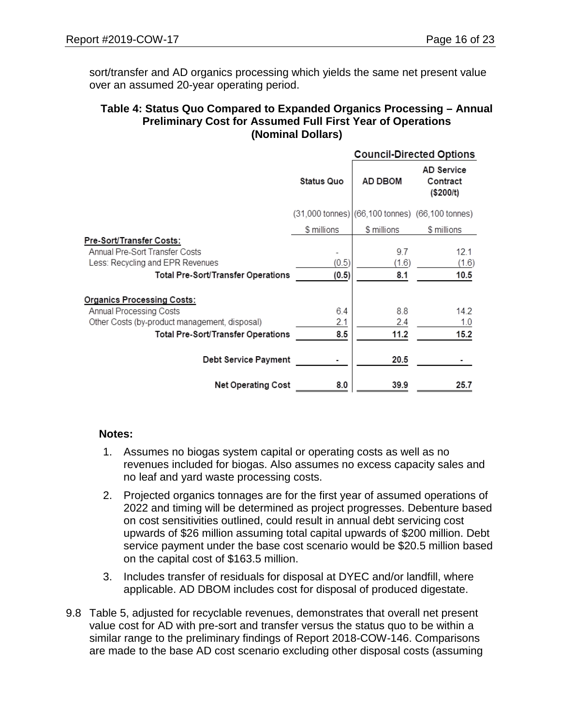sort/transfer and AD organics processing which yields the same net present value over an assumed 20-year operating period.

#### **Table 4: Status Quo Compared to Expanded Organics Processing – Annual Preliminary Cost for Assumed Full First Year of Operations (Nominal Dollars)**

|                                                                                                                                      |                   | <b>Council-Directed Options</b>                 |                                            |  |
|--------------------------------------------------------------------------------------------------------------------------------------|-------------------|-------------------------------------------------|--------------------------------------------|--|
|                                                                                                                                      | <b>Status Quo</b> | AD DBOM                                         | <b>AD Service</b><br>Contract<br>(\$200/t) |  |
|                                                                                                                                      |                   | (31,000 tonnes) (66,100 tonnes) (66,100 tonnes) |                                            |  |
|                                                                                                                                      | \$ millions       | \$ millions                                     | \$ millions                                |  |
| Pre-Sort/Transfer Costs:<br>Annual Pre-Sort Transfer Costs<br>Less: Recycling and EPR Revenues<br>Total Pre-Sort/Transfer Operations | (0.5)<br>(0.5)    | 9.7<br>(1.6)<br>8.1                             | 12.1<br>(1.6)<br>10.5                      |  |
| <b>Organics Processing Costs:</b>                                                                                                    |                   |                                                 |                                            |  |
| Annual Processing Costs                                                                                                              | 6.4               | 8.8                                             | 14.2                                       |  |
| Other Costs (by-product management, disposal)                                                                                        | 2.1               | 2.4                                             | 1.0                                        |  |
| Total Pre-Sort/Transfer Operations                                                                                                   | 8.5               | 11.2                                            | 15.2                                       |  |
| <b>Debt Service Payment</b>                                                                                                          |                   | 20.5                                            |                                            |  |
| <b>Net Operating Cost</b>                                                                                                            | 8.0               | 39.9                                            | 25.7                                       |  |

#### **Notes:**

- 1. Assumes no biogas system capital or operating costs as well as no revenues included for biogas. Also assumes no excess capacity sales and no leaf and yard waste processing costs.
- 2. Projected organics tonnages are for the first year of assumed operations of 2022 and timing will be determined as project progresses. Debenture based on cost sensitivities outlined, could result in annual debt servicing cost upwards of \$26 million assuming total capital upwards of \$200 million. Debt service payment under the base cost scenario would be \$20.5 million based on the capital cost of \$163.5 million.
- 3. Includes transfer of residuals for disposal at DYEC and/or landfill, where applicable. AD DBOM includes cost for disposal of produced digestate.
- 9.8 Table 5, adjusted for recyclable revenues, demonstrates that overall net present value cost for AD with pre-sort and transfer versus the status quo to be within a similar range to the preliminary findings of Report 2018-COW-146. Comparisons are made to the base AD cost scenario excluding other disposal costs (assuming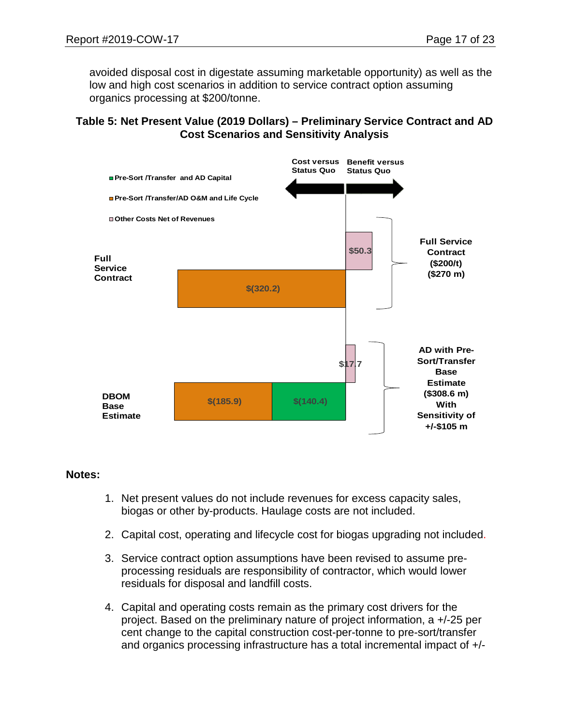avoided disposal cost in digestate assuming marketable opportunity) as well as the low and high cost scenarios in addition to service contract option assuming organics processing at \$200/tonne.

#### **Table 5: Net Present Value (2019 Dollars) – Preliminary Service Contract and AD Cost Scenarios and Sensitivity Analysis**



#### **Notes:**

- 1. Net present values do not include revenues for excess capacity sales, biogas or other by-products. Haulage costs are not included.
- 2. Capital cost, operating and lifecycle cost for biogas upgrading not included.
- 3. Service contract option assumptions have been revised to assume preprocessing residuals are responsibility of contractor, which would lower residuals for disposal and landfill costs.
- 4. Capital and operating costs remain as the primary cost drivers for the project. Based on the preliminary nature of project information, a +/-25 per cent change to the capital construction cost-per-tonne to pre-sort/transfer and organics processing infrastructure has a total incremental impact of +/-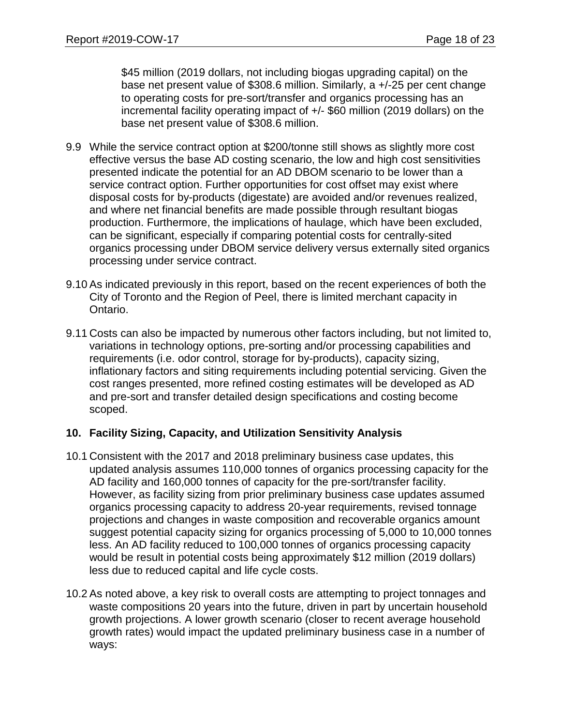\$45 million (2019 dollars, not including biogas upgrading capital) on the base net present value of \$308.6 million. Similarly, a +/-25 per cent change to operating costs for pre-sort/transfer and organics processing has an incremental facility operating impact of +/- \$60 million (2019 dollars) on the base net present value of \$308.6 million.

- 9.9 While the service contract option at \$200/tonne still shows as slightly more cost effective versus the base AD costing scenario, the low and high cost sensitivities presented indicate the potential for an AD DBOM scenario to be lower than a service contract option. Further opportunities for cost offset may exist where disposal costs for by-products (digestate) are avoided and/or revenues realized, and where net financial benefits are made possible through resultant biogas production. Furthermore, the implications of haulage, which have been excluded, can be significant, especially if comparing potential costs for centrally-sited organics processing under DBOM service delivery versus externally sited organics processing under service contract.
- 9.10 As indicated previously in this report, based on the recent experiences of both the City of Toronto and the Region of Peel, there is limited merchant capacity in Ontario.
- 9.11 Costs can also be impacted by numerous other factors including, but not limited to, variations in technology options, pre-sorting and/or processing capabilities and requirements (i.e. odor control, storage for by-products), capacity sizing, inflationary factors and siting requirements including potential servicing. Given the cost ranges presented, more refined costing estimates will be developed as AD and pre-sort and transfer detailed design specifications and costing become scoped.

#### **10. Facility Sizing, Capacity, and Utilization Sensitivity Analysis**

- 10.1 Consistent with the 2017 and 2018 preliminary business case updates, this updated analysis assumes 110,000 tonnes of organics processing capacity for the AD facility and 160,000 tonnes of capacity for the pre-sort/transfer facility. However, as facility sizing from prior preliminary business case updates assumed organics processing capacity to address 20-year requirements, revised tonnage projections and changes in waste composition and recoverable organics amount suggest potential capacity sizing for organics processing of 5,000 to 10,000 tonnes less. An AD facility reduced to 100,000 tonnes of organics processing capacity would be result in potential costs being approximately \$12 million (2019 dollars) less due to reduced capital and life cycle costs.
- 10.2 As noted above, a key risk to overall costs are attempting to project tonnages and waste compositions 20 years into the future, driven in part by uncertain household growth projections. A lower growth scenario (closer to recent average household growth rates) would impact the updated preliminary business case in a number of ways: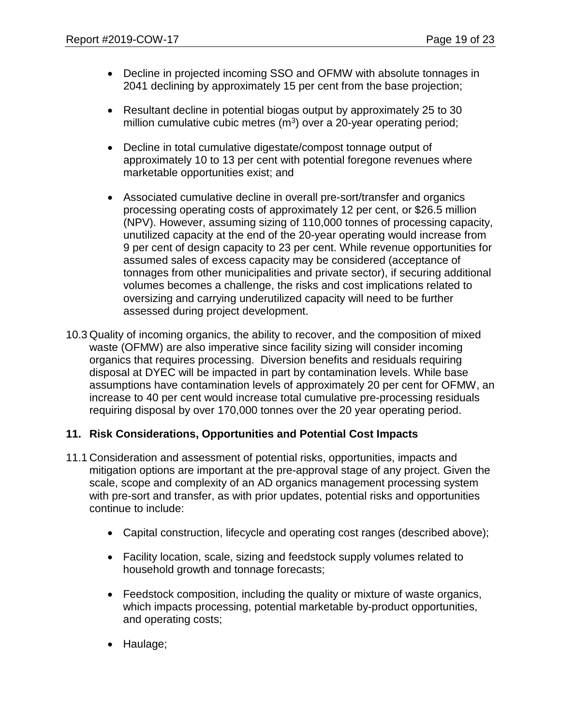- Decline in projected incoming SSO and OFMW with absolute tonnages in 2041 declining by approximately 15 per cent from the base projection;
- Resultant decline in potential biogas output by approximately 25 to 30 million cumulative cubic metres  $(m^3)$  over a 20-year operating period;
- Decline in total cumulative digestate/compost tonnage output of approximately 10 to 13 per cent with potential foregone revenues where marketable opportunities exist; and
- Associated cumulative decline in overall pre-sort/transfer and organics processing operating costs of approximately 12 per cent, or \$26.5 million (NPV). However, assuming sizing of 110,000 tonnes of processing capacity, unutilized capacity at the end of the 20-year operating would increase from 9 per cent of design capacity to 23 per cent. While revenue opportunities for assumed sales of excess capacity may be considered (acceptance of tonnages from other municipalities and private sector), if securing additional volumes becomes a challenge, the risks and cost implications related to oversizing and carrying underutilized capacity will need to be further assessed during project development.
- 10.3 Quality of incoming organics, the ability to recover, and the composition of mixed waste (OFMW) are also imperative since facility sizing will consider incoming organics that requires processing. Diversion benefits and residuals requiring disposal at DYEC will be impacted in part by contamination levels. While base assumptions have contamination levels of approximately 20 per cent for OFMW, an increase to 40 per cent would increase total cumulative pre-processing residuals requiring disposal by over 170,000 tonnes over the 20 year operating period.

#### **11. Risk Considerations, Opportunities and Potential Cost Impacts**

- 11.1 Consideration and assessment of potential risks, opportunities, impacts and mitigation options are important at the pre-approval stage of any project. Given the scale, scope and complexity of an AD organics management processing system with pre-sort and transfer, as with prior updates, potential risks and opportunities continue to include:
	- Capital construction, lifecycle and operating cost ranges (described above);
	- Facility location, scale, sizing and feedstock supply volumes related to household growth and tonnage forecasts;
	- Feedstock composition, including the quality or mixture of waste organics, which impacts processing, potential marketable by-product opportunities, and operating costs;
	- Haulage;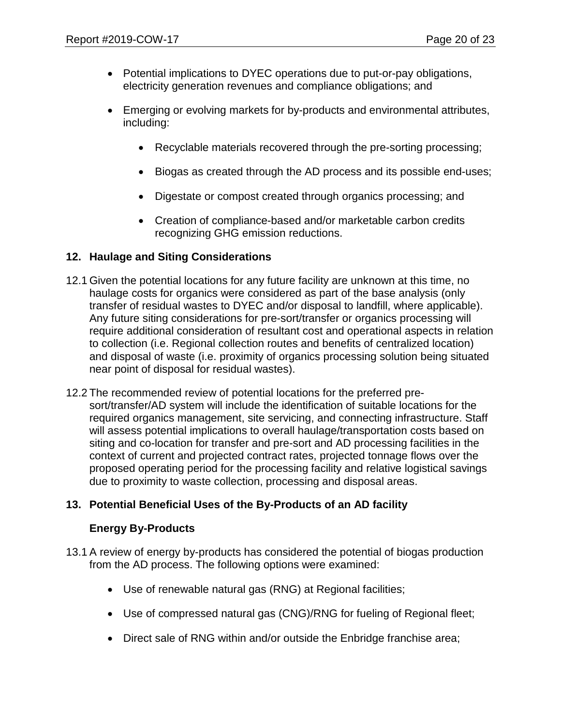- Potential implications to DYEC operations due to put-or-pay obligations, electricity generation revenues and compliance obligations; and
- Emerging or evolving markets for by-products and environmental attributes, including:
	- Recyclable materials recovered through the pre-sorting processing;
	- Biogas as created through the AD process and its possible end-uses;
	- Digestate or compost created through organics processing; and
	- Creation of compliance-based and/or marketable carbon credits recognizing GHG emission reductions.

#### **12. Haulage and Siting Considerations**

- 12.1 Given the potential locations for any future facility are unknown at this time, no haulage costs for organics were considered as part of the base analysis (only transfer of residual wastes to DYEC and/or disposal to landfill, where applicable). Any future siting considerations for pre-sort/transfer or organics processing will require additional consideration of resultant cost and operational aspects in relation to collection (i.e. Regional collection routes and benefits of centralized location) and disposal of waste (i.e. proximity of organics processing solution being situated near point of disposal for residual wastes).
- 12.2 The recommended review of potential locations for the preferred presort/transfer/AD system will include the identification of suitable locations for the required organics management, site servicing, and connecting infrastructure. Staff will assess potential implications to overall haulage/transportation costs based on siting and co-location for transfer and pre-sort and AD processing facilities in the context of current and projected contract rates, projected tonnage flows over the proposed operating period for the processing facility and relative logistical savings due to proximity to waste collection, processing and disposal areas.

## **13. Potential Beneficial Uses of the By-Products of an AD facility**

## **Energy By-Products**

- 13.1 A review of energy by-products has considered the potential of biogas production from the AD process. The following options were examined:
	- Use of renewable natural gas (RNG) at Regional facilities;
	- Use of compressed natural gas (CNG)/RNG for fueling of Regional fleet;
	- Direct sale of RNG within and/or outside the Enbridge franchise area;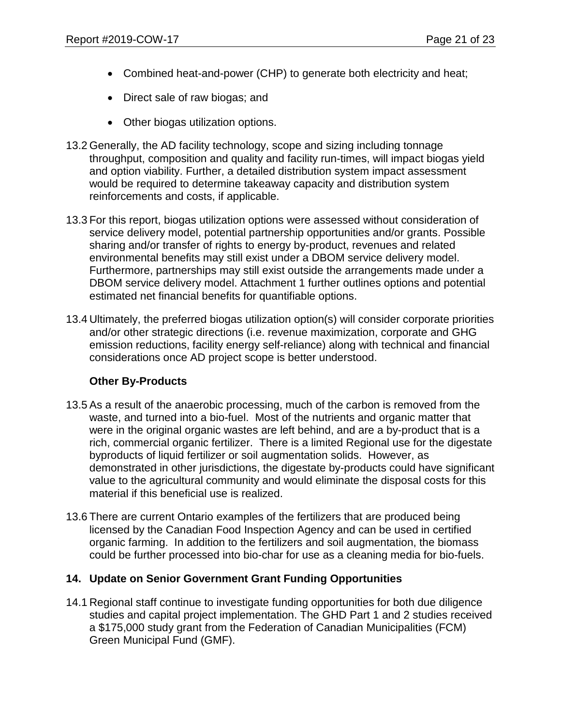- Combined heat-and-power (CHP) to generate both electricity and heat;
- Direct sale of raw biogas; and
- Other biogas utilization options.
- 13.2 Generally, the AD facility technology, scope and sizing including tonnage throughput, composition and quality and facility run-times, will impact biogas yield and option viability. Further, a detailed distribution system impact assessment would be required to determine takeaway capacity and distribution system reinforcements and costs, if applicable.
- 13.3 For this report, biogas utilization options were assessed without consideration of service delivery model, potential partnership opportunities and/or grants. Possible sharing and/or transfer of rights to energy by-product, revenues and related environmental benefits may still exist under a DBOM service delivery model. Furthermore, partnerships may still exist outside the arrangements made under a DBOM service delivery model. Attachment 1 further outlines options and potential estimated net financial benefits for quantifiable options.
- 13.4 Ultimately, the preferred biogas utilization option(s) will consider corporate priorities and/or other strategic directions (i.e. revenue maximization, corporate and GHG emission reductions, facility energy self-reliance) along with technical and financial considerations once AD project scope is better understood.

## **Other By-Products**

- 13.5 As a result of the anaerobic processing, much of the carbon is removed from the waste, and turned into a bio-fuel. Most of the nutrients and organic matter that were in the original organic wastes are left behind, and are a by-product that is a rich, commercial organic fertilizer. There is a limited Regional use for the digestate byproducts of liquid fertilizer or soil augmentation solids. However, as demonstrated in other jurisdictions, the digestate by-products could have significant value to the agricultural community and would eliminate the disposal costs for this material if this beneficial use is realized.
- 13.6 There are current Ontario examples of the fertilizers that are produced being licensed by the Canadian Food Inspection Agency and can be used in certified organic farming. In addition to the fertilizers and soil augmentation, the biomass could be further processed into bio-char for use as a cleaning media for bio-fuels.

## **14. Update on Senior Government Grant Funding Opportunities**

14.1 Regional staff continue to investigate funding opportunities for both due diligence studies and capital project implementation. The GHD Part 1 and 2 studies received a \$175,000 study grant from the Federation of Canadian Municipalities (FCM) Green Municipal Fund (GMF).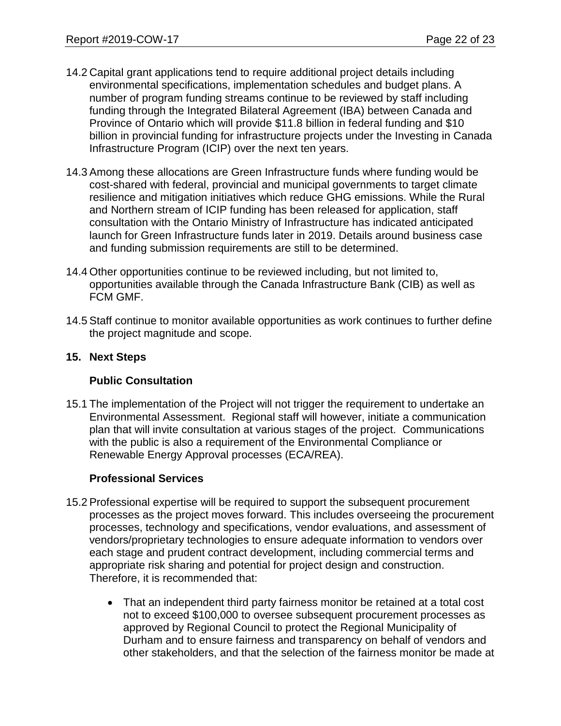- 14.2 Capital grant applications tend to require additional project details including environmental specifications, implementation schedules and budget plans. A number of program funding streams continue to be reviewed by staff including funding through the Integrated Bilateral Agreement (IBA) between Canada and Province of Ontario which will provide \$11.8 billion in federal funding and \$10 billion in provincial funding for infrastructure projects under the Investing in Canada Infrastructure Program (ICIP) over the next ten years.
- 14.3 Among these allocations are Green Infrastructure funds where funding would be cost-shared with federal, provincial and municipal governments to target climate resilience and mitigation initiatives which reduce GHG emissions. While the Rural and Northern stream of ICIP funding has been released for application, staff consultation with the Ontario Ministry of Infrastructure has indicated anticipated launch for Green Infrastructure funds later in 2019. Details around business case and funding submission requirements are still to be determined.
- 14.4 Other opportunities continue to be reviewed including, but not limited to, opportunities available through the Canada Infrastructure Bank (CIB) as well as FCM GMF.
- 14.5 Staff continue to monitor available opportunities as work continues to further define the project magnitude and scope.

#### **15. Next Steps**

#### **Public Consultation**

15.1 The implementation of the Project will not trigger the requirement to undertake an Environmental Assessment. Regional staff will however, initiate a communication plan that will invite consultation at various stages of the project. Communications with the public is also a requirement of the Environmental Compliance or Renewable Energy Approval processes (ECA/REA).

## **Professional Services**

- 15.2 Professional expertise will be required to support the subsequent procurement processes as the project moves forward. This includes overseeing the procurement processes, technology and specifications, vendor evaluations, and assessment of vendors/proprietary technologies to ensure adequate information to vendors over each stage and prudent contract development, including commercial terms and appropriate risk sharing and potential for project design and construction. Therefore, it is recommended that:
	- That an independent third party fairness monitor be retained at a total cost not to exceed \$100,000 to oversee subsequent procurement processes as approved by Regional Council to protect the Regional Municipality of Durham and to ensure fairness and transparency on behalf of vendors and other stakeholders, and that the selection of the fairness monitor be made at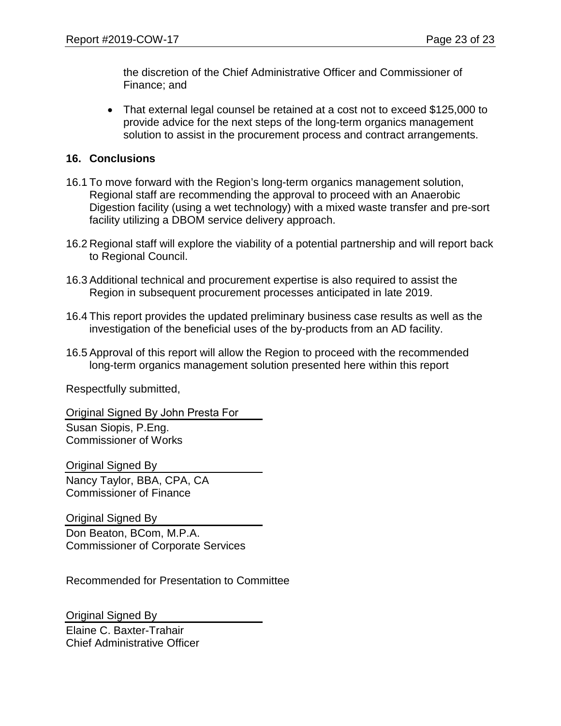the discretion of the Chief Administrative Officer and Commissioner of Finance; and

• That external legal counsel be retained at a cost not to exceed \$125,000 to provide advice for the next steps of the long-term organics management solution to assist in the procurement process and contract arrangements.

#### **16. Conclusions**

- 16.1 To move forward with the Region's long-term organics management solution, Regional staff are recommending the approval to proceed with an Anaerobic Digestion facility (using a wet technology) with a mixed waste transfer and pre-sort facility utilizing a DBOM service delivery approach.
- 16.2 Regional staff will explore the viability of a potential partnership and will report back to Regional Council.
- 16.3 Additional technical and procurement expertise is also required to assist the Region in subsequent procurement processes anticipated in late 2019.
- 16.4 This report provides the updated preliminary business case results as well as the investigation of the beneficial uses of the by-products from an AD facility.
- 16.5 Approval of this report will allow the Region to proceed with the recommended long-term organics management solution presented here within this report

Respectfully submitted,

Original Signed By John Presta For Susan Siopis, P.Eng. Commissioner of Works

Original Signed By Nancy Taylor, BBA, CPA, CA Commissioner of Finance

Original Signed By Don Beaton, BCom, M.P.A. Commissioner of Corporate Services

Recommended for Presentation to Committee

Original Signed By Elaine C. Baxter-Trahair Chief Administrative Officer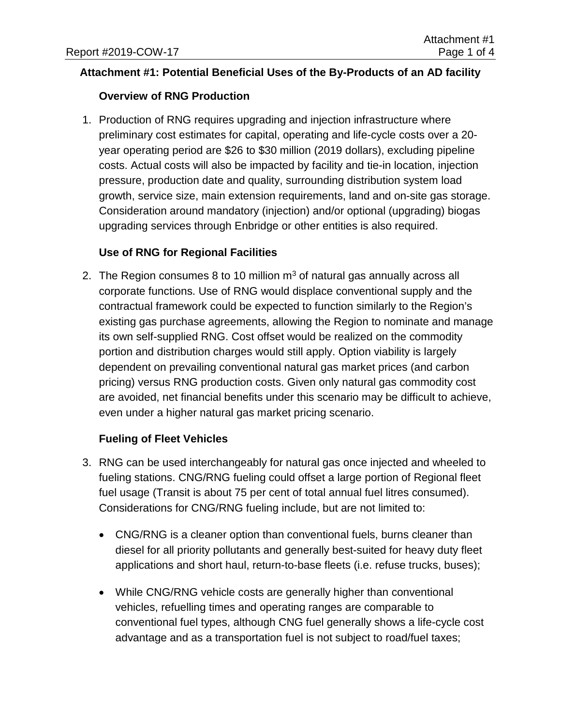## **Attachment #1: Potential Beneficial Uses of the By-Products of an AD facility**

## **Overview of RNG Production**

1. Production of RNG requires upgrading and injection infrastructure where preliminary cost estimates for capital, operating and life-cycle costs over a 20 year operating period are \$26 to \$30 million (2019 dollars), excluding pipeline costs. Actual costs will also be impacted by facility and tie-in location, injection pressure, production date and quality, surrounding distribution system load growth, service size, main extension requirements, land and on-site gas storage. Consideration around mandatory (injection) and/or optional (upgrading) biogas upgrading services through Enbridge or other entities is also required.

## **Use of RNG for Regional Facilities**

2. The Region consumes 8 to 10 million  $m<sup>3</sup>$  of natural gas annually across all corporate functions. Use of RNG would displace conventional supply and the contractual framework could be expected to function similarly to the Region's existing gas purchase agreements, allowing the Region to nominate and manage its own self-supplied RNG. Cost offset would be realized on the commodity portion and distribution charges would still apply. Option viability is largely dependent on prevailing conventional natural gas market prices (and carbon pricing) versus RNG production costs. Given only natural gas commodity cost are avoided, net financial benefits under this scenario may be difficult to achieve, even under a higher natural gas market pricing scenario.

## **Fueling of Fleet Vehicles**

- 3. RNG can be used interchangeably for natural gas once injected and wheeled to fueling stations. CNG/RNG fueling could offset a large portion of Regional fleet fuel usage (Transit is about 75 per cent of total annual fuel litres consumed). Considerations for CNG/RNG fueling include, but are not limited to:
	- CNG/RNG is a cleaner option than conventional fuels, burns cleaner than diesel for all priority pollutants and generally best-suited for heavy duty fleet applications and short haul, return-to-base fleets (i.e. refuse trucks, buses);
	- While CNG/RNG vehicle costs are generally higher than conventional vehicles, refuelling times and operating ranges are comparable to conventional fuel types, although CNG fuel generally shows a life-cycle cost advantage and as a transportation fuel is not subject to road/fuel taxes;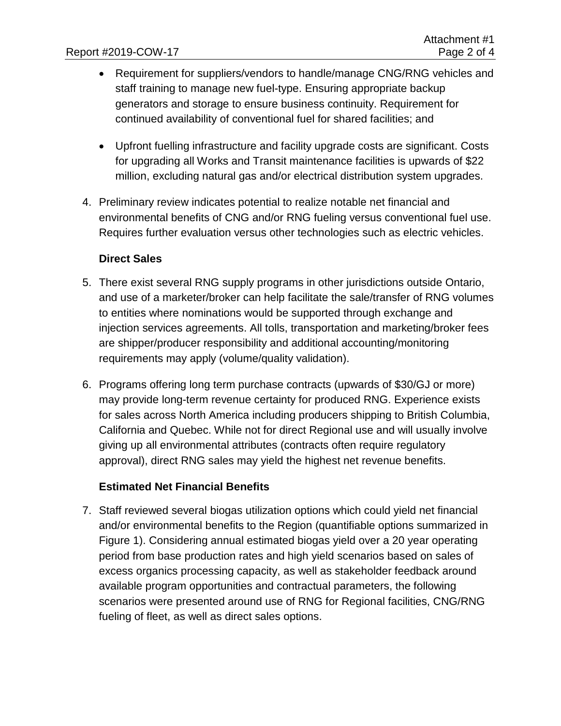- Requirement for suppliers/vendors to handle/manage CNG/RNG vehicles and staff training to manage new fuel-type. Ensuring appropriate backup generators and storage to ensure business continuity. Requirement for continued availability of conventional fuel for shared facilities; and
- Upfront fuelling infrastructure and facility upgrade costs are significant. Costs for upgrading all Works and Transit maintenance facilities is upwards of \$22 million, excluding natural gas and/or electrical distribution system upgrades.
- 4. Preliminary review indicates potential to realize notable net financial and environmental benefits of CNG and/or RNG fueling versus conventional fuel use. Requires further evaluation versus other technologies such as electric vehicles.

#### **Direct Sales**

- 5. There exist several RNG supply programs in other jurisdictions outside Ontario, and use of a marketer/broker can help facilitate the sale/transfer of RNG volumes to entities where nominations would be supported through exchange and injection services agreements. All tolls, transportation and marketing/broker fees are shipper/producer responsibility and additional accounting/monitoring requirements may apply (volume/quality validation).
- 6. Programs offering long term purchase contracts (upwards of \$30/GJ or more) may provide long-term revenue certainty for produced RNG. Experience exists for sales across North America including producers shipping to British Columbia, California and Quebec. While not for direct Regional use and will usually involve giving up all environmental attributes (contracts often require regulatory approval), direct RNG sales may yield the highest net revenue benefits.

## **Estimated Net Financial Benefits**

7. Staff reviewed several biogas utilization options which could yield net financial and/or environmental benefits to the Region (quantifiable options summarized in Figure 1). Considering annual estimated biogas yield over a 20 year operating period from base production rates and high yield scenarios based on sales of excess organics processing capacity, as well as stakeholder feedback around available program opportunities and contractual parameters, the following scenarios were presented around use of RNG for Regional facilities, CNG/RNG fueling of fleet, as well as direct sales options.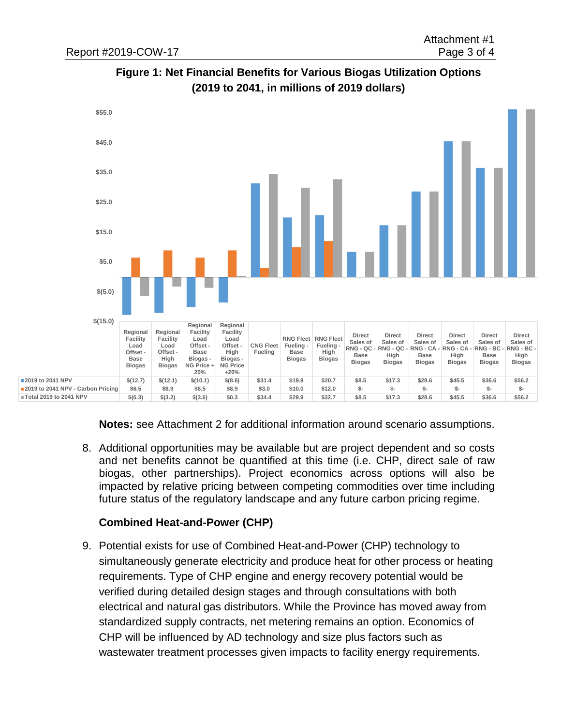



**Notes:** see Attachment 2 for additional information around scenario assumptions.

8. Additional opportunities may be available but are project dependent and so costs and net benefits cannot be quantified at this time (i.e. CHP, direct sale of raw biogas, other partnerships). Project economics across options will also be impacted by relative pricing between competing commodities over time including future status of the regulatory landscape and any future carbon pricing regime.

#### **Combined Heat-and-Power (CHP)**

9. Potential exists for use of Combined Heat-and-Power (CHP) technology to simultaneously generate electricity and produce heat for other process or heating requirements. Type of CHP engine and energy recovery potential would be verified during detailed design stages and through consultations with both electrical and natural gas distributors. While the Province has moved away from standardized supply contracts, net metering remains an option. Economics of CHP will be influenced by AD technology and size plus factors such as wastewater treatment processes given impacts to facility energy requirements.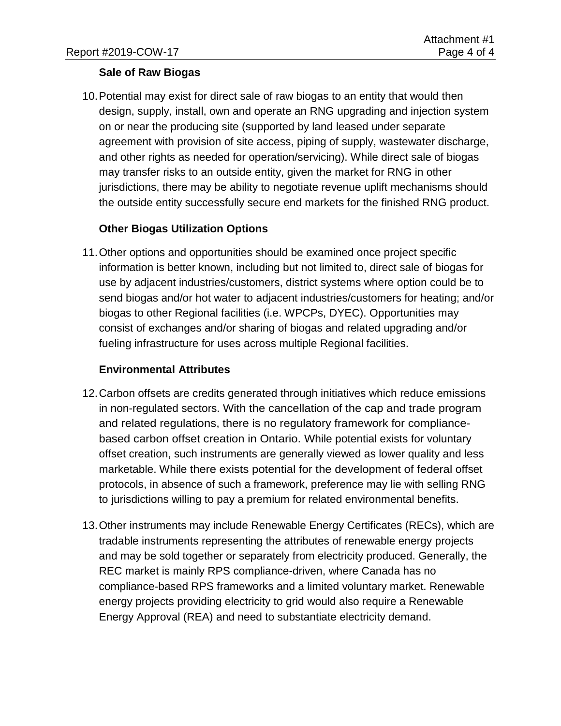## **Sale of Raw Biogas**

10.Potential may exist for direct sale of raw biogas to an entity that would then design, supply, install, own and operate an RNG upgrading and injection system on or near the producing site (supported by land leased under separate agreement with provision of site access, piping of supply, wastewater discharge, and other rights as needed for operation/servicing). While direct sale of biogas may transfer risks to an outside entity, given the market for RNG in other jurisdictions, there may be ability to negotiate revenue uplift mechanisms should the outside entity successfully secure end markets for the finished RNG product.

## **Other Biogas Utilization Options**

11.Other options and opportunities should be examined once project specific information is better known, including but not limited to, direct sale of biogas for use by adjacent industries/customers, district systems where option could be to send biogas and/or hot water to adjacent industries/customers for heating; and/or biogas to other Regional facilities (i.e. WPCPs, DYEC). Opportunities may consist of exchanges and/or sharing of biogas and related upgrading and/or fueling infrastructure for uses across multiple Regional facilities.

#### **Environmental Attributes**

- 12.Carbon offsets are credits generated through initiatives which reduce emissions in non-regulated sectors. With the cancellation of the cap and trade program and related regulations, there is no regulatory framework for compliancebased carbon offset creation in Ontario. While potential exists for voluntary offset creation, such instruments are generally viewed as lower quality and less marketable. While there exists potential for the development of federal offset protocols, in absence of such a framework, preference may lie with selling RNG to jurisdictions willing to pay a premium for related environmental benefits.
- 13.Other instruments may include Renewable Energy Certificates (RECs), which are tradable instruments representing the attributes of renewable energy projects and may be sold together or separately from electricity produced. Generally, the REC market is mainly RPS compliance-driven, where Canada has no compliance-based RPS frameworks and a limited voluntary market. Renewable energy projects providing electricity to grid would also require a Renewable Energy Approval (REA) and need to substantiate electricity demand.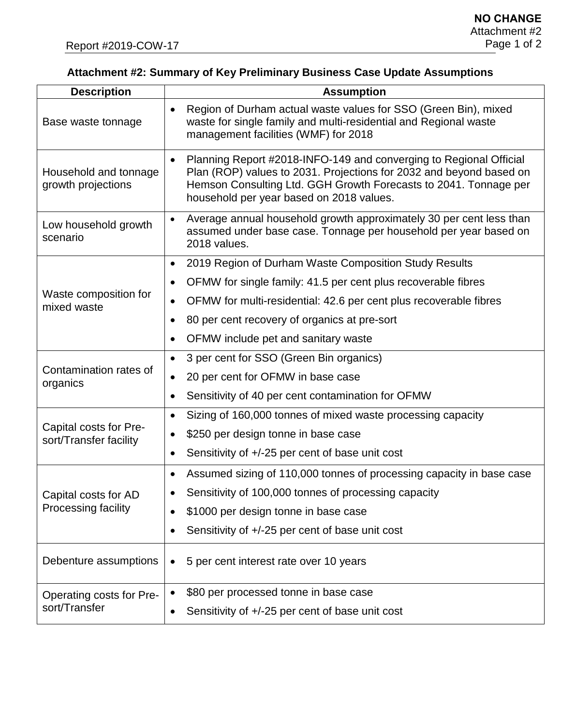## **Attachment #2: Summary of Key Preliminary Business Case Update Assumptions**

| <b>Description</b>                               | <b>Assumption</b>                                                                                                                                                                                                                                         |
|--------------------------------------------------|-----------------------------------------------------------------------------------------------------------------------------------------------------------------------------------------------------------------------------------------------------------|
| Base waste tonnage                               | Region of Durham actual waste values for SSO (Green Bin), mixed<br>$\bullet$<br>waste for single family and multi-residential and Regional waste<br>management facilities (WMF) for 2018                                                                  |
| Household and tonnage<br>growth projections      | Planning Report #2018-INFO-149 and converging to Regional Official<br>Plan (ROP) values to 2031. Projections for 2032 and beyond based on<br>Hemson Consulting Ltd. GGH Growth Forecasts to 2041. Tonnage per<br>household per year based on 2018 values. |
| Low household growth<br>scenario                 | Average annual household growth approximately 30 per cent less than<br>assumed under base case. Tonnage per household per year based on<br>2018 values.                                                                                                   |
|                                                  | 2019 Region of Durham Waste Composition Study Results                                                                                                                                                                                                     |
|                                                  | OFMW for single family: 41.5 per cent plus recoverable fibres                                                                                                                                                                                             |
| Waste composition for<br>mixed waste             | OFMW for multi-residential: 42.6 per cent plus recoverable fibres<br>$\bullet$                                                                                                                                                                            |
|                                                  | 80 per cent recovery of organics at pre-sort                                                                                                                                                                                                              |
|                                                  | OFMW include pet and sanitary waste                                                                                                                                                                                                                       |
|                                                  | 3 per cent for SSO (Green Bin organics)<br>$\bullet$                                                                                                                                                                                                      |
| Contamination rates of<br>organics               | 20 per cent for OFMW in base case<br>$\bullet$                                                                                                                                                                                                            |
|                                                  | Sensitivity of 40 per cent contamination for OFMW                                                                                                                                                                                                         |
|                                                  | Sizing of 160,000 tonnes of mixed waste processing capacity<br>$\bullet$                                                                                                                                                                                  |
| Capital costs for Pre-<br>sort/Transfer facility | \$250 per design tonne in base case                                                                                                                                                                                                                       |
|                                                  | Sensitivity of +/-25 per cent of base unit cost                                                                                                                                                                                                           |
|                                                  | Assumed sizing of 110,000 tonnes of processing capacity in base case                                                                                                                                                                                      |
| Capital costs for AD                             | • Sensitivity of 100,000 tonnes of processing capacity                                                                                                                                                                                                    |
| <b>Processing facility</b>                       | \$1000 per design tonne in base case                                                                                                                                                                                                                      |
|                                                  | Sensitivity of +/-25 per cent of base unit cost                                                                                                                                                                                                           |
| Debenture assumptions                            | 5 per cent interest rate over 10 years<br>$\bullet$                                                                                                                                                                                                       |
| Operating costs for Pre-                         | \$80 per processed tonne in base case<br>$\bullet$                                                                                                                                                                                                        |
| sort/Transfer                                    | Sensitivity of +/-25 per cent of base unit cost<br>$\bullet$                                                                                                                                                                                              |